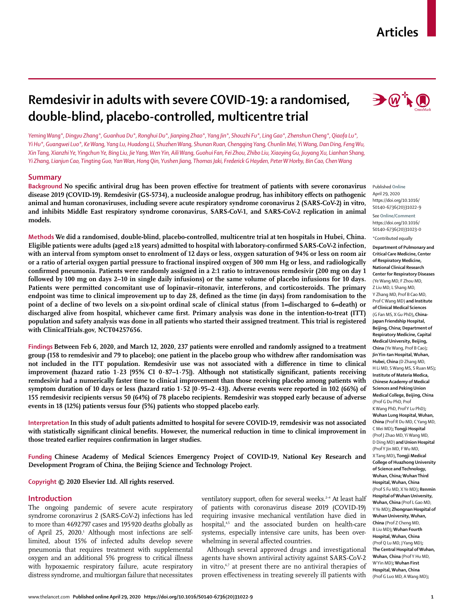# **Articles**

# **Remdesivir in adults with severe COVID-19: a randomised, double-blind, placebo-controlled, multicentre trial**

*Yeming Wang\*, Dingyu Zhang\*, Guanhua Du\*, Ronghui Du\*, Jianping Zhao\*, Yang Jin\*, Shouzhi Fu\*, Ling Gao\*, Zhenshun Cheng\*, Qiaofa Lu\*, Yi Hu\*, Guangwei Luo\*, Ke Wang, Yang Lu, Huadong Li, Shuzhen Wang, Shunan Ruan, Chengqing Yang, Chunlin Mei, Yi Wang, Dan Ding, Feng Wu, Xin Tang, Xianzhi Ye, Yingchun Ye, Bing Liu, Jie Yang, Wen Yin, Aili Wang, Guohui Fan, Fei Zhou, Zhibo Liu, Xiaoying Gu, Jiuyang Xu, Lianhan Shang, Yi Zhang, Lianjun Cao, Tingting Guo, Yan Wan, Hong Qin, Yushen Jiang, Thomas Jaki, Frederick G Hayden, Peter W Horby, Bin Cao, Chen Wang*

## **Summary**

**Background No specific antiviral drug has been proven effective for treatment of patients with severe coronavirus disease 2019 (COVID-19). Remdesivir (GS-5734), a nucleoside analogue prodrug, has inhibitory effects on pathogenic animal and human coronaviruses, including severe acute respiratory syndrome coronavirus 2 (SARS-CoV-2) in vitro, and inhibits Middle East respiratory syndrome coronavirus, SARS-CoV-1, and SARS-CoV-2 replication in animal models.**

**Methods We did a randomised, double-blind, placebo-controlled, multicentre trial at ten hospitals in Hubei, China. Eligible patients were adults (aged ≥18 years) admitted to hospital with laboratory-confirmed SARS-CoV-2 infection, with an interval from symptom onset to enrolment of 12 days or less, oxygen saturation of 94% or less on room air or a ratio of arterial oxygen partial pressure to fractional inspired oxygen of 300 mm Hg or less, and radiologically confirmed pneumonia. Patients were randomly assigned in a 2:1 ratio to intravenous remdesivir (200 mg on day 1 followed by 100 mg on days 2–10 in single daily infusions) or the same volume of placebo infusions for 10 days. Patients were permitted concomitant use of lopinavir–ritonavir, interferons, and corticosteroids. The primary endpoint was time to clinical improvement up to day 28, defined as the time (in days) from randomisation to the point of a decline of two levels on a six-point ordinal scale of clinical status (from 1=discharged to 6=death) or discharged alive from hospital, whichever came first. Primary analysis was done in the intention-to-treat (ITT) population and safety analysis was done in all patients who started their assigned treatment. This trial is registered with ClinicalTrials.gov, NCT04257656.**

**Findings Between Feb 6, 2020, and March 12, 2020, 237 patients were enrolled and randomly assigned to a treatment group (158 to remdesivir and 79 to placebo); one patient in the placebo group who withdrew after randomisation was not included in the ITT population. Remdesivir use was not associated with a difference in time to clinical improvement (hazard ratio 1·23 [95% CI 0·87–1·75]). Although not statistically significant, patients receiving remdesivir had a numerically faster time to clinical improvement than those receiving placebo among patients with symptom duration of 10 days or less (hazard ratio 1·52 [0·95–2·43]). Adverse events were reported in 102 (66%) of 155 remdesivir recipients versus 50 (64%) of 78 placebo recipients. Remdesivir was stopped early because of adverse events in 18 (12%) patients versus four (5%) patients who stopped placebo early.**

**Interpretation In this study of adult patients admitted to hospital for severe COVID-19, remdesivir was not associated with statistically significant clinical benefits. However, the numerical reduction in time to clinical improvement in those treated earlier requires confirmation in larger studies.**

**Funding Chinese Academy of Medical Sciences Emergency Project of COVID-19, National Key Research and Development Program of China, the Beijing Science and Technology Project.**

**Copyright © 2020 Elsevier Ltd. All rights reserved.**

# **Introduction**

The ongoing pandemic of severe acute respiratory syndrome coronavirus 2 (SARS-CoV-2) infections has led to more than 4692797 cases and 195920 deaths globally as of April 25, 2020.<sup>1</sup> Although most infections are selflimited, about 15% of infected adults develop severe pneumonia that requires treatment with supplemental oxygen and an additional 5% progress to critical illness with hypoxaemic respiratory failure, acute respiratory distress syndrome, and multiorgan failure that necessitates ventilatory support, often for several weeks.<sup>2-4</sup> At least half of patients with coronavirus disease 2019 (COVID-19) requiring invasive mechanical ventilation have died in hospital,<sup>4,5</sup> and the associated burden on health-care systems, especially intensive care units, has been overwhelming in several affected countries.

Although several approved drugs and investigational agents have shown antiviral activity against SARS-CoV-2 in vitro,<sup>6,7</sup> at present there are no antiviral therapies of proven effectiveness in treating severely ill patients with



Published **Online** April 29, 2020 https://doi.org/10.1016/ S0140-6736(20)31022-9

See **Online/Comment** https://doi.org/10.1016/ S0140-6736(20)31023-0

\*Contributed equally **Department of Pulmonary and Critical Care Medicine, Center of Respiratory Medicine, National Clinical Research Center for Respiratory Diseases**  (Ye Wang MD, F Zhou MD, Z Liu MD, L Shang MD, Y Zhang MD, Prof B Cao MD, Prof C Wang MD) **and Institute of Clinical Medical Sciences**  (G Fan MS, X Gu PhD)**, China-Japan Friendship Hospital, Beijing, China; Department of Respiratory Medicine, Capital Medical University, Beijing, China** (Ye Wang, Prof B Cao)**; Jin Yin-tan Hospital, Wuhan, Hubei, China** (D Zhang MD, H Li MD, S Wang MS, S Ruan MS)**; Institute of Materia Medica, Chinese Academy of Medical Sciences and Peking Union Medical College, Beijing, China**  (Prof G Du PhD, Prof K Wang PhD, Prof Y Lu PhD)**; Wuhan Lung Hospital, Wuhan, China** (Prof R Du MD, C Yang MD, C Mei MD)**; Tongji Hospital**  (Prof J Zhao MD, Yi Wang MD, D Ding MD) **and Union Hospital**  (Prof Y Jin MD, F Wu MD, X Tang MD)**, Tongji Medical College of Huazhong University of Science and Technology, Wuhan, China; Wuhan Third Hospital, Wuhan, China** (Prof S Fu MD, X Ye MD)**; Renmin Hospital of Wuhan University, Wuhan, China** (Prof L Gao MD, Y Ye MD)**; Zhongnan Hospital of Wuhan University, Wuhan, China** (Prof Z Cheng MD, B Liu MD)**; Wuhan Fourth Hospital, Wuhan, China**  (Prof Q Lu MD, J Yang MD)**; The Central Hospital of Wuhan, Wuhan, China** (Prof Y Hu MD, W Yin MD)**; Wuhan First Hospital, Wuhan, China** (Prof G Luo MD, A Wang MD)**;**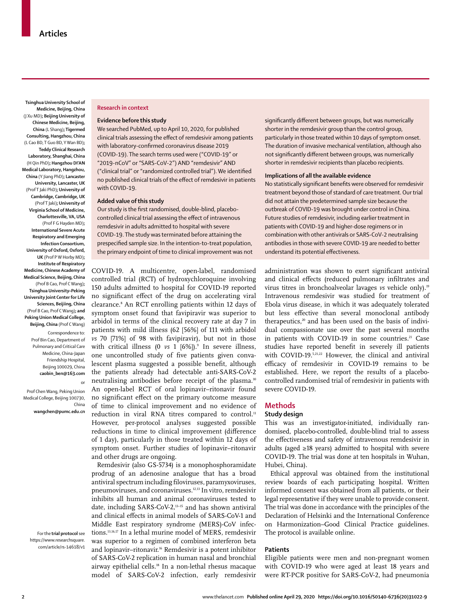**Tsinghua University School of Medicine, Beijing, China** (J Xu MD)**; Beijing University of Chinese Medicine, Beijing, China** (L Shang)**; Tigermed Consulting, Hangzhou, China** (L Cao BD, T Guo BD, Y Wan BD)**; Teddy Clinical Research Laboratory, Shanghai, China** (H Qin PhD)**; Hangzhou DI'AN Medical Laboratory, Hangzhou, China** (Y Jiang PhD)**; Lancaster University, Lancaster, UK** (Prof T Jaki PhD)**; University of Cambridge, Cambridge, UK**  (Prof T Jaki)**; University of Virginia School of Medicine, Charlottesville, VA, USA** (Prof F G Hayden MD)**; International Severe Acute Respiratory and Emerging Infection Consortium, University of Oxford, Oxford, UK** (Prof P W Horby MD)**; Institute of Respiratory Medicine, Chinese Academy of Medical Science, Beijing, China** (Prof B Cao, Prof C Wang)**; Tsinghua University–Peking University Joint Center for Life Sciences, Beijiing, China**  (Prof B Cao, Prof C Wang)**; and Peking Union Medical College, Beijing, China** (Prof C Wang)

Correspondence to: Prof Bin Cao, Department of Pulmonary and Critical Care Medicine, China-Japan Friendship Hospital, Beijing 100029, China **caobin\_ben@163.com**

or

Prof Chen Wang, Peking Union Medical College, Beijing 100730, China **wangchen@pumc.edu.cn**

For the **trial protocol** see [https://www.researchsquare.](https://www.researchsquare.com/article/rs-14618/v1) [com/article/rs-14618/v1](https://www.researchsquare.com/article/rs-14618/v1)

#### **Research in context**

### **Evidence before this study**

We searched PubMed, up to April 10, 2020, for published clinical trials assessing the effect of remdesivir among patients with laboratory-confirmed coronavirus disease 2019 (COVID-19). The search terms used were ("COVID-19" or "2019-nCoV" or "SARS-CoV-2") AND "remdesivir" AND ("clinical trial" or "randomized controlled trial"). We identified no published clinical trials of the effect of remdesivir in patients with COVID-19.

### **Added value of this study**

Our study is the first randomised, double-blind, placebocontrolled clinical trial assessing the effect of intravenous remdesivir in adults admitted to hospital with severe COVID-19. The study was terminated before attaining the prespecified sample size. In the intention-to-treat population, the primary endpoint of time to clinical improvement was not

COVID-19. A multicentre, open-label, randomised controlled trial (RCT) of hydroxychloroquine involving 150 adults admitted to hospital for COVID-19 reported no significant effect of the drug on accelerating viral clearance.8 An RCT enrolling patients within 12 days of symptom onset found that favipiravir was superior to arbidol in terms of the clinical recovery rate at day 7 in patients with mild illness (62 [56%] of 111 with arbidol *vs* 70 [71%] of 98 with favipiravir), but not in those with critical illness (0 *vs* 1 [6%]).<sup>9</sup> In severe illness, one uncontrolled study of five patients given convalescent plasma suggested a possible benefit, although the patients already had detectable anti-SARS-CoV-2 neutralising antibodies before receipt of the plasma.<sup>10</sup> An open-label RCT of oral lopinavir–ritonavir found no significant effect on the primary outcome measure of time to clinical improvement and no evidence of reduction in viral RNA titres compared to control.<sup>11</sup> However, per-protocol analyses suggested possible reductions in time to clinical improvement (difference of 1 day), particularly in those treated within 12 days of symptom onset. Further studies of lopinavir–ritonavir and other drugs are ongoing.

Remdesivir (also GS-5734) is a monophosphoramidate prodrug of an adenosine analogue that has a broad antiviral spectrum including filoviruses, paramyxoviruses, pneumoviruses, and coronaviruses.12,13 In vitro, remdesivir inhibits all human and animal coronaviruses tested to date, including SARS-CoV-2,13–15 and has shown antiviral and clinical effects in animal models of SARS-CoV-1 and Middle East respiratory syndrome (MERS)-CoV infections.13,16,17 In a lethal murine model of MERS, remdesivir was superior to a regimen of combined interferon beta and lopinavir-ritonavir.<sup>16</sup> Remdesivir is a potent inhibitor of SARS-CoV-2 replication in human nasal and bronchial airway epithelial cells.18 In a non-lethal rhesus macaque model of SARS-CoV-2 infection, early remdesivir significantly different between groups, but was numerically shorter in the remdesivir group than the control group, particularly in those treated within 10 days of symptom onset. The duration of invasive mechanical ventilation, although also not significantly different between groups, was numerically shorter in remdesivir recipients than placebo recipients.

#### **Implications of all the available evidence**

No statistically significant benefits were observed for remdesivir treatment beyond those of standard of care treatment. Our trial did not attain the predetermined sample size because the outbreak of COVID-19 was brought under control in China. Future studies of remdesivir, including earlier treatment in patients with COVID-19 and higher-dose regimens or in combination with other antivirals or SARS-CoV-2 neutralising antibodies in those with severe COVID-19 are needed to better understand its potential effectiveness.

administration was shown to exert significant antiviral and clinical effects (reduced pulmonary infiltrates and virus titres in bronchoalveolar lavages *vs* vehicle only).19 Intravenous remdesivir was studied for treatment of Ebola virus disease, in which it was adequately tolerated but less effective than several monoclonal antibody therapeutics,<sup>20</sup> and has been used on the basis of individual compassionate use over the past several months in patients with COVID-19 in some countries.<sup>21</sup> Case studies have reported benefit in severely ill patients with COVID-19.5,21,22 However, the clinical and antiviral efficacy of remdesivir in COVID-19 remains to be established. Here, we report the results of a placebocontrolled randomised trial of remdesivir in patients with severe COVID-19.

## **Methods**

# **Study design**

This was an investigator-initiated, individually randomised, placebo-controlled, double-blind trial to assess the effectiveness and safety of intravenous remdesivir in adults (aged ≥18 years) admitted to hospital with severe COVID-19. The trial was done at ten hospitals in Wuhan, Hubei, China).

Ethical approval was obtained from the institutional review boards of each participating hospital. Written informed consent was obtained from all patients, or their legal representative if they were unable to provide consent. The trial was done in accordance with the principles of the Declaration of Helsinki and the International Conference on Harmonization–Good Clinical Practice guidelines. The protocol is available [online.](https://www.researchsquare.com/article/rs-14618/v1)

## **Patients**

Eligible patients were men and non-pregnant women with COVID-19 who were aged at least 18 years and were RT-PCR positive for SARS-CoV-2, had pneumonia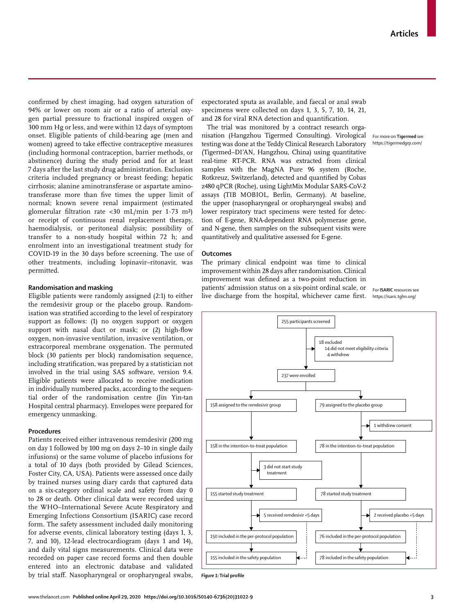For more on **Tigermed** see <https://tigermedgrp.com/>

confirmed by chest imaging, had oxygen saturation of 94% or lower on room air or a ratio of arterial oxygen partial pressure to fractional inspired oxygen of 300 mm Hg or less, and were within 12 days of symptom onset. Eligible patients of child-bearing age (men and women) agreed to take effective contraceptive measures (including hormonal contraception, barrier methods, or abstinence) during the study period and for at least 7 days after the last study drug administration. Exclusion criteria included pregnancy or breast feeding; hepatic cirrhosis; alanine aminotransferase or aspartate aminotransferase more than five times the upper limit of normal; known severe renal impairment (estimated glomerular filtration rate <30 mL/min per 1·73 m²) or receipt of continuous renal replacement therapy, haemodialysis, or peritoneal dialysis; possibility of transfer to a non-study hospital within 72 h; and enrolment into an investigational treatment study for COVID-19 in the 30 days before screening. The use of other treatments, including lopinavir–ritonavir, was permitted.

# **Randomisation and masking**

Eligible patients were randomly assigned (2:1) to either the remdesivir group or the placebo group. Randomisation was stratified according to the level of respiratory support as follows: (1) no oxygen support or oxygen support with nasal duct or mask; or (2) high-flow oxygen, non-invasive ventilation, invasive ventilation, or extracorporeal membrane oxygenation. The permuted block (30 patients per block) randomisation sequence, including stratification, was prepared by a statistician not involved in the trial using SAS software, version 9.4. Eligible patients were allocated to receive medication in individually numbered packs, according to the sequential order of the randomisation centre (Jin Yin-tan Hospital central pharmacy). Envelopes were prepared for emergency unmasking.

## **Procedures**

Patients received either intravenous remdesivir (200 mg on day 1 followed by 100 mg on days 2–10 in single daily infusions) or the same volume of placebo infusions for a total of 10 days (both provided by Gilead Sciences, Foster City, CA, USA). Patients were assessed once daily by trained nurses using diary cards that captured data on a six-category ordinal scale and safety from day 0 to 28 or death. Other clinical data were recorded using the WHO–International Severe Acute Respiratory and Emerging Infections Consortium ([ISARIC\)](https://isaric.tghn.org/) case record form. The safety assessment included daily monitoring for adverse events, clinical laboratory testing (days 1, 3, 7, and 10), 12-lead electrocardiogram (days 1 and 14), and daily vital signs measurements. Clinical data were recorded on paper case record forms and then double entered into an electronic database and validated by trial staff. Nasopharyngeal or oropharyngeal swabs,

expectorated sputa as available, and faecal or anal swab specimens were collected on days 1, 3, 5, 7, 10, 14, 21, and 28 for viral RNA detection and quantification.

The trial was monitored by a contract research organisation [\(Hangzhou Tigermed Consulting\)](https://tigermedgrp.com/). Virological testing was done at the Teddy Clinical Research Laboratory (Tigermed–DI'AN, Hangzhou, China) using quantitative real-time RT-PCR. RNA was extracted from clinical samples with the MagNA Pure 96 system (Roche, Rotkreuz, Switzerland), detected and quantified by Cobas z480 qPCR (Roche), using LightMix Modular SARS-CoV-2 assays (TIB MOBIOL, Berlin, Germany). At baseline, the upper (nasopharyngeal or oropharyngeal swabs) and lower respiratory tract specimens were tested for detection of E-gene, RNA-dependent RNA polymerase gene, and N-gene, then samples on the subsequent visits were quantitatively and qualitative assessed for E-gene.

## **Outcomes**

The primary clinical endpoint was time to clinical improvement within 28 days after randomisation. Clinical improvement was defined as a two-point reduction in patients' admission status on a six-point ordinal scale, or For **ISARIC** resources see live discharge from the hospital, whichever came first. <https://isaric.tghn.org/>



*Figure 1:* **Trial profile**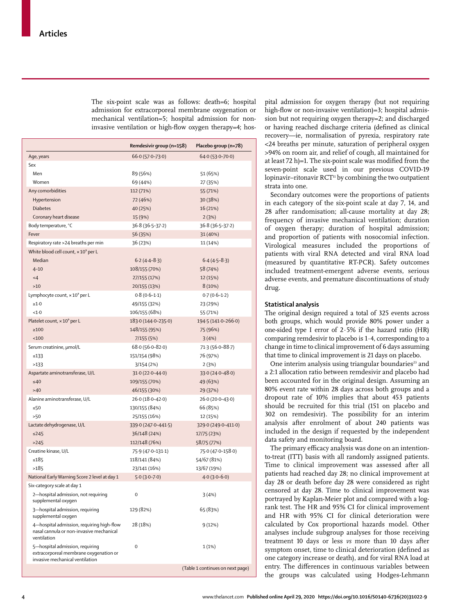The six-point scale was as follows: death=6; hospital admission for extracorporeal membrane oxygenation or mechanical ventilation=5; hospital admission for noninvasive ventilation or high-flow oxygen therapy=4; hos-

|                                                                                                              | Remdesivir group (n=158)<br>Placebo group (n=78) |                                  |  |
|--------------------------------------------------------------------------------------------------------------|--------------------------------------------------|----------------------------------|--|
| Age, years                                                                                                   | $66.0(57.0 - 73.0)$                              | $64.0(53.0 - 70.0)$              |  |
| Sex                                                                                                          |                                                  |                                  |  |
| Men                                                                                                          | 89 (56%)                                         | 51 (65%)                         |  |
| Women                                                                                                        | 69 (44%)                                         | 27 (35%)                         |  |
| Any comorbidities                                                                                            | 112 (71%)                                        | 55 (71%)                         |  |
| Hypertension                                                                                                 | 72 (46%)                                         | 30 (38%)                         |  |
| <b>Diabetes</b>                                                                                              | 40 (25%)                                         | 16 (21%)                         |  |
| Coronary heart disease                                                                                       | 15 (9%)                                          | 2(3%)                            |  |
| Body temperature, °C                                                                                         | $36.8(36.5-37.2)$                                | $36.8(36.5-37.2)$                |  |
| Fever                                                                                                        | 56 (35%)                                         | 31 (40%)                         |  |
|                                                                                                              |                                                  | 11 (14%)                         |  |
| Respiratory rate >24 breaths per min                                                                         | 36 (23%)                                         |                                  |  |
| White blood cell count, $\times 10^9$ per L<br>Median                                                        |                                                  |                                  |  |
|                                                                                                              | $6.2(4.4 - 8.3)$                                 | $6.4(4.5-8.3)$                   |  |
| $4 - 10$                                                                                                     | 108/155 (70%)                                    | 58 (74%)                         |  |
| $<$ 4                                                                                                        | 27/155 (17%)                                     | 12 (15%)                         |  |
| $>10$                                                                                                        | 20/155 (13%)                                     | 8(10%)                           |  |
| Lymphocyte count, × 10° per L                                                                                | $0.8(0.6-1.1)$                                   | $0.7(0.6-1.2)$                   |  |
| $\geq 1.0$                                                                                                   | 49/155 (32%)                                     | 23 (29%)                         |  |
| <1.0                                                                                                         | 106/155 (68%)                                    | 55 (71%)                         |  |
| Platelet count, × 10 <sup>9</sup> per L                                                                      | 183.0 (144.0-235.0)                              | 194.5 (141.0-266.0)              |  |
| $\geq 100$                                                                                                   | 148/155 (95%)                                    | 75 (96%)                         |  |
| <100                                                                                                         | 7/155(5%)                                        | 3(4%)                            |  |
| Serum creatinine, µmol/L                                                                                     | $68.0(56.0 - 82.0)$                              | 71.3 (56.0-88.7)                 |  |
| $\leq 133$                                                                                                   | 151/154 (98%)                                    | 76 (97%)                         |  |
| >133                                                                                                         | 3/154 (2%)                                       | 2(3%)                            |  |
| Aspartate aminotransferase, U/L                                                                              | $31.0(22.0 - 44.0)$                              | 33.0 (24.0-48.0)                 |  |
| $\leq 40$                                                                                                    | 109/155 (70%)                                    | 49 (63%)                         |  |
| >40                                                                                                          | 46/155 (30%)                                     | 29 (37%)                         |  |
| Alanine aminotransferase, U/L                                                                                | $26.0(18.0 - 42.0)$                              | 26.0 (20.0-43.0)                 |  |
| $\leq 50$                                                                                                    | 130/155 (84%)                                    | 66 (85%)                         |  |
| >50                                                                                                          | 25/155 (16%)                                     | 12 (15%)                         |  |
| Lactate dehydrogenase, U/L                                                                                   | 339.0 (247.0-441.5)                              | 329.0 (249.0-411.0)              |  |
| $\leq$ 245                                                                                                   | 36/148 (24%)                                     | 17/75 (23%)                      |  |
| >245                                                                                                         | 112/148 (76%)                                    | 58/75 (77%)                      |  |
| Creatine kinase, U/L                                                                                         | 75.9 (47.0-131.1)                                | 75.0 (47.0-158.0)                |  |
| ≤185                                                                                                         | 118/141 (84%)                                    | 54/67 (81%)                      |  |
| >185                                                                                                         | 23/141 (16%)                                     | 13/67 (19%)                      |  |
| National Early Warning Score 2 level at day 1                                                                | $5.0(3.0 - 7.0)$                                 | $4.0(3.0-6.0)$                   |  |
| Six-category scale at day 1                                                                                  |                                                  |                                  |  |
| 2-hospital admission, not requiring<br>supplemental oxygen                                                   | 0                                                | 3(4%)                            |  |
| 3-hospital admission, requiring<br>supplemental oxygen                                                       | 129 (82%)                                        | 65 (83%)                         |  |
| 4-hospital admission, requiring high-flow<br>nasal cannula or non-invasive mechanical<br>ventilation         | 28 (18%)                                         | 9 (12%)                          |  |
| 5-hospital admission, requiring<br>extracorporeal membrane oxygenation or<br>invasive mechanical ventilation | 0                                                | 1(1%)                            |  |
|                                                                                                              |                                                  | (Table 1 continues on next page) |  |

pital admission for oxygen therapy (but not requiring high-flow or non-invasive ventilation)=3; hospital admission but not requiring oxygen therapy=2; and discharged or having reached discharge criteria (defined as clinical recovery—ie, normalisation of pyrexia, respiratory rate <24 breaths per minute, saturation of peripheral oxygen >94% on room air, and relief of cough, all maintained for at least 72 h)=1. The six-point scale was modified from the seven-point scale used in our previous COVID-19 lopinavir–ritonavir  $\mathrm{RCT}^n$  by combining the two outpatient strata into one.

Secondary outcomes were the proportions of patients in each category of the six-point scale at day 7, 14, and 28 after randomisation; all-cause mortality at day 28; frequency of invasive mechanical ventilation; duration of oxygen therapy; duration of hospital admission; and proportion of patients with nosocomial infection. Virological measures included the proportions of patients with viral RNA detected and viral RNA load (measured by quantitative RT-PCR). Safety outcomes included treatment-emergent adverse events, serious adverse events, and premature discontinuations of study drug.

# **Statistical analysis**

The original design required a total of 325 events across both groups, which would provide 80% power under a one-sided type I error of 2·5% if the hazard ratio (HR) comparing remdesivir to placebo is 1·4, corresponding to a change in time to clinical improvement of 6 days assuming that time to clinical improvement is 21 days on placebo.

One interim analysis using triangular boundaries<sup>23</sup> and a 2:1 allocation ratio between remdesivir and placebo had been accounted for in the original design. Assuming an 80% event rate within 28 days across both groups and a dropout rate of 10% implies that about 453 patients should be recruited for this trial (151 on placebo and 302 on remdesivir). The possibility for an interim analysis after enrolment of about 240 patients was included in the design if requested by the independent data safety and monitoring board.

The primary efficacy analysis was done on an intentionto-treat (ITT) basis with all randomly assigned patients. Time to clinical improvement was assessed after all patients had reached day 28; no clinical improvement at day 28 or death before day 28 were considered as right censored at day 28. Time to clinical improvement was portrayed by Kaplan-Meier plot and compared with a logrank test. The HR and 95% CI for clinical improvement and HR with 95% CI for clinical deterioration were calculated by Cox proportional hazards model. Other analyses include subgroup analyses for those receiving treatment 10 days or less *vs* more than 10 days after symptom onset, time to clinical deterioration (defined as one category increase or death), and for viral RNA load at entry. The differences in continuous variables between the groups was calculated using Hodges-Lehmann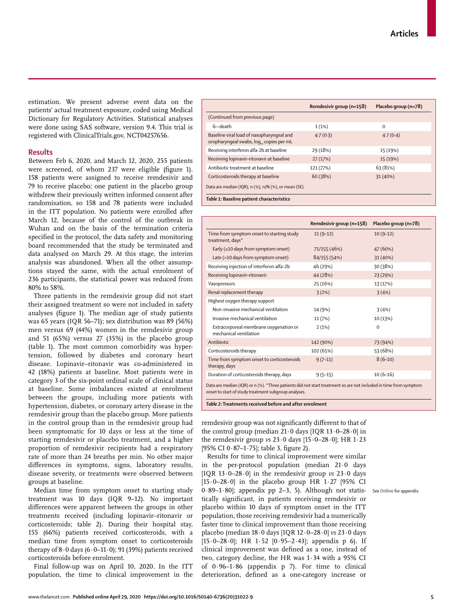estimation. We present adverse event data on the patients' actual treatment exposure, coded using Medical Dictionary for Regulatory Activities. Statistical analyses were done using SAS software, version 9.4. This trial is registered with ClinicalTrials.gov, NCT04257656.

# **Results**

Between Feb 6, 2020, and March 12, 2020, 255 patients were screened, of whom 237 were eligible (figure 1). 158 patients were assigned to receive remdesivir and 79 to receive placebo; one patient in the placebo group withdrew their previously written informed consent after randomisation, so 158 and 78 patients were included in the ITT population. No patients were enrolled after March 12, because of the control of the outbreak in Wuhan and on the basis of the termination criteria specified in the protocol, the data safety and monitoring board recommended that the study be terminated and data analysed on March 29. At this stage, the interim analysis was abandoned. When all the other assumptions stayed the same, with the actual enrolment of 236 participants, the statistical power was reduced from 80% to 58%.

Three patients in the remdesivir group did not start their assigned treatment so were not included in safety analyses (figure 1). The median age of study patients was 65 years (IQR 56–71); sex distribution was 89 (56%) men versus 69 (44%) women in the remdesivir group and 51 (65%) versus 27 (35%) in the placebo group (table 1). The most common comorbidity was hypertension, followed by diabetes and coronary heart disease. Lopinavir–ritonavir was co-administered in 42 (18%) patients at baseline. Most patients were in category 3 of the six-point ordinal scale of clinical status at baseline. Some imbalances existed at enrolment between the groups, including more patients with hypertension, diabetes, or coronary artery disease in the remdesivir group than the placebo group. More patients in the control group than in the remdesivir group had been symptomatic for 10 days or less at the time of starting remdesivir or placebo treatment, and a higher proportion of remdesivir recipients had a respiratory rate of more than 24 breaths per min. No other major differences in symptoms, signs, laboratory results, disease severity, or treatments were observed between groups at baseline.

Median time from symptom onset to starting study treatment was 10 days (IQR 9–12). No important differences were apparent between the groups in other treatments received (including lopinavir–ritonavir or corticosteroids; table 2). During their hospital stay, 155 (66%) patients received corticosteroids, with a median time from symptom onset to corticosteroids therapy of  $8.0$  days  $(6.0-11.0)$ ; 91 (39%) patients received corticosteroids before enrolment.

Final follow-up was on April 10, 2020. In the ITT population, the time to clinical improvement in the

|                                                                                       | Remdesivir group (n=158) | Placebo group (n=78) |
|---------------------------------------------------------------------------------------|--------------------------|----------------------|
| (Continued from previous page)                                                        |                          |                      |
| 6-death                                                                               | 1(1%)                    | $\Omega$             |
| Baseline viral load of nasopharyngeal and<br>oropharyngeal swabs, log., copies per mL | 4.7(0.3)                 | 4.7(0.4)             |
| Receiving interferon alfa-2b at baseline                                              | 29 (18%)                 | 15 (19%)             |
| Receiving lopinavir-ritonavir at baseline                                             | 27(17%)                  | 15 (19%)             |
| Antibiotic treatment at baseline                                                      | 121 (77%)                | 63 (81%)             |
| Corticosteroids therapy at baseline                                                   | 60 (38%)                 | 31 (40%)             |
| Data are median (IQR), n (%), n/N (%), or mean (SE).                                  |                          |                      |
| Table 1: Baseline patient characteristics                                             |                          |                      |

|                                                                                                                                                                          | Remdesivir group (n=158) | Placebo group (n=78) |
|--------------------------------------------------------------------------------------------------------------------------------------------------------------------------|--------------------------|----------------------|
| Time from symptom onset to starting study<br>treatment, days*                                                                                                            | $11(9-12)$               | $10(9-12)$           |
| Early ( $\leq$ 10 days from symptom onset)                                                                                                                               | 71/155 (46%)             | 47 (60%)             |
| Late (>10 days from symptom onset)                                                                                                                                       | 84/155 (54%)             | 31 (40%)             |
| Receiving injection of interferon alfa-2b                                                                                                                                | 46 (29%)                 | 30 (38%)             |
| Receiving lopinavir-ritonavir                                                                                                                                            | 44 (28%)                 | 23 (29%)             |
| Vasopressors                                                                                                                                                             | 25 (16%)                 | 13 (17%)             |
| Renal replacement therapy                                                                                                                                                | 3(2%)                    | 3(4%)                |
| Highest oxygen therapy support                                                                                                                                           |                          |                      |
| Non-invasive mechanical ventilation                                                                                                                                      | 14 (9%)                  | 3(4%)                |
| Invasive mechanical ventilation                                                                                                                                          | 11 (7%)                  | 10 (13%)             |
| Extracorporeal membrane oxygenation or<br>mechanical ventilation                                                                                                         | 2(1%)                    | $\mathbf 0$          |
| Antibiotic                                                                                                                                                               | 142 (90%)                | 73 (94%)             |
| Corticosteroids therapy                                                                                                                                                  | 102 (65%)                | 53 (68%)             |
| Time from symptom onset to corticosteroids<br>therapy, days                                                                                                              | $9(7-11)$                | $8(6-10)$            |
| Duration of corticosteroids therapy, days                                                                                                                                | $9(5-15)$                | $10(6-16)$           |
| Data are median (IQR) or n (%). *Three patients did not start treatment so are not included in time from symptom<br>onset to start of study treatment subgroup analyses. |                          |                      |

*Table 2:* **Treatments received before and after enrolment**

remdesivir group was not significantly different to that of the control group (median 21·0 days [IQR 13·0–28·0] in the remdesivir group *vs* 23·0 days [15·0–28·0]; HR 1·23 [95% CI 0·87–1·75]; table 3, figure 2).

Results for time to clinical improvement were similar in the per-protocol population (median 21·0 days [IQR 13·0–28·0] in the remdesivir group *vs* 23·0 days [15·0–28·0] in the placebo group HR 1·27 [95% CI 0·89–1·80]; appendix pp 2–3, 5). Although not statistically significant, in patients receiving remdesivir or placebo within 10 days of symptom onset in the ITT population, those receiving remdesivir had a numerically faster time to clinical improvement than those receiving placebo (median 18·0 days [IQR 12·0–28·0] *vs* 23·0 days [15·0–28·0]; HR 1·52 [0·95–2·43]; appendix p 6). If clinical improvement was defined as a one, instead of two, category decline, the HR was 1·34 with a 95% CI of  $0.96-1.86$  (appendix p 7). For time to clinical deterioration, defined as a one-category increase or

See **Online** for appendix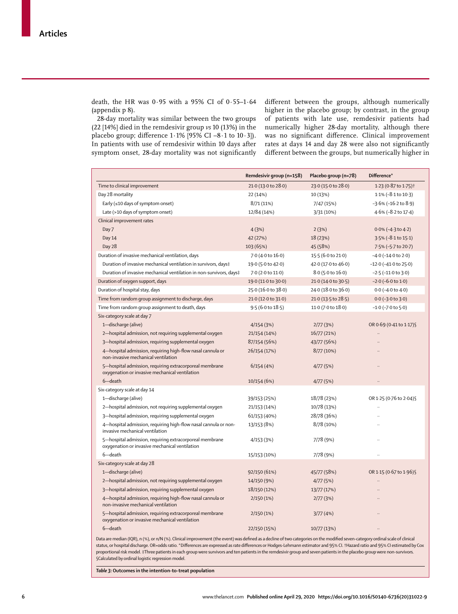death, the HR was  $0.95$  with a 95% CI of  $0.55-1.64$ (appendix p 8).

28-day mortality was similar between the two groups (22 [14%] died in the remdesivir group *vs* 10 (13%) in the placebo group; difference 1·1% [95% CI –8·1 to 10·3]). In patients with use of remdesivir within 10 days after symptom onset, 28-day mortality was not significantly

different between the groups, although numerically higher in the placebo group; by contrast, in the group of patients with late use, remdesivir patients had numerically higher 28-day mortality, although there was no significant difference. Clinical improvement rates at days 14 and day 28 were also not significantly different between the groups, but numerically higher in

|                                                                                                           | Remdesivir group (n=158) | Placebo group (n=78)   | Difference*                      |
|-----------------------------------------------------------------------------------------------------------|--------------------------|------------------------|----------------------------------|
| Time to clinical improvement                                                                              | 21.0 (13.0 to 28.0)      | 23.0 (15.0 to 28.0)    | 1.23 (0.87 to 1.75) <sup>†</sup> |
| Day 28 mortality                                                                                          | 22 (14%)                 | 10 (13%)               | $1.1\%$ (-8.1 to 10.3)           |
| Early ( $\leq 10$ days of symptom onset)                                                                  | 8/71 (11%)               | 7/47 (15%)             | $-3.6\%$ ( $-16.2$ to $8.9$ )    |
| Late (>10 days of symptom onset)                                                                          | 12/84 (14%)              | 3/31 (10%)             | 4.6% (-8.2 to 17.4)              |
| Clinical improvement rates                                                                                |                          |                        |                                  |
| Day 7                                                                                                     | 4(3%)                    | 2(3%)                  | $0.0\%$ (-4.3 to 4.2)            |
| Day 14                                                                                                    | 42 (27%)                 | 18 (23%)               | 3.5% (-8.1 to 15.1)              |
| Day 28                                                                                                    | 103 (65%)                | 45 (58%)               | 7.5% (-5.7 to 20.7)              |
| Duration of invasive mechanical ventilation, days                                                         | 7.0 (4.0 to 16.0)        | 15.5 (6.0 to 21.0)     | $-4.0$ ( $-14.0$ to $2.0$ )      |
| Duration of invasive mechanical ventilation in survivors, days‡                                           | 19.0 (5.0 to 42.0)       | 42.0 (17.0 to 46.0)    | $-12.0$ ( $-41.0$ to 25.0)       |
| Duration of invasive mechanical ventilation in non-survivors, days‡                                       | 7.0 (2.0 to 11.0)        | $8.0$ (5.0 to $16.0$ ) | $-2.5$ ( $-11.0$ to $3.0$ )      |
| Duration of oxygen support, days                                                                          | 19.0 (11.0 to 30.0)      | 21.0 (14.0 to 30.5)    | $-2.0$ ( $-6.0$ to $1.0$ )       |
| Duration of hospital stay, days                                                                           | 25.0 (16.0 to 38.0)      | 24.0 (18.0 to 36.0)    | $0.0$ (-4.0 to 4.0)              |
| Time from random group assignment to discharge, days                                                      | 21.0 (12.0 to 31.0)      | 21.0 (13.5 to 28.5)    | $0.0$ (-3.0 to 3.0)              |
| Time from random group assignment to death, days                                                          | 9.5(6.0 to 18.5)         | 11.0 (7.0 to 18.0)     | $-1.0$ ( $-7.0$ to $5.0$ )       |
| Six-category scale at day 7                                                                               |                          |                        |                                  |
| 1-discharge (alive)                                                                                       | 4/154(3%)                | 2/77(3%)               | OR 0.69 (0.41 to 1.17) \$        |
| 2-hospital admission, not requiring supplemental oxygen                                                   | 21/154 (14%)             | 16/77 (21%)            |                                  |
| 3-hospital admission, requiring supplemental oxygen                                                       | 87/154 (56%)             | 43/77 (56%)            |                                  |
| 4-hospital admission, requiring high-flow nasal cannula or<br>non-invasive mechanical ventilation         | 26/154 (17%)             | 8/77(10%)              |                                  |
| 5-hospital admission, requiring extracorporeal membrane<br>oxygenation or invasive mechanical ventilation | 6/154(4%)                | 4/77(5%)               |                                  |
| 6-death                                                                                                   | 10/154 (6%)              | 4/77(5%)               |                                  |
| Six-category scale at day 14                                                                              |                          |                        |                                  |
| 1-discharge (alive)                                                                                       | 39/153 (25%)             | 18/78 (23%)            | OR 1.25 (0.76 to 2.04) \$        |
| 2-hospital admission, not requiring supplemental oxygen                                                   | 21/153 (14%)             | 10/78 (13%)            | $\ddot{\phantom{a}}$             |
| 3-hospital admission, requiring supplemental oxygen                                                       | 61/153 (40%)             | 28/78 (36%)            |                                  |
| 4-hospital admission, requiring high-flow nasal cannula or non-<br>invasive mechanical ventilation        | 13/153 (8%)              | 8/78 (10%)             | $\ddot{\phantom{a}}$             |
| 5-hospital admission, requiring extracorporeal membrane<br>oxygenation or invasive mechanical ventilation | 4/153(3%)                | 7/78 (9%)              |                                  |
| 6-death                                                                                                   | 15/153 (10%)             | 7/78 (9%)              |                                  |
| Six-category scale at day 28                                                                              |                          |                        |                                  |
| 1-discharge (alive)                                                                                       | 92/150 (61%)             | 45/77 (58%)            | OR 1.15 (0.67 to 1.96) \$        |
| 2-hospital admission, not requiring supplemental oxygen                                                   | 14/150 (9%)              | 4/77(5%)               |                                  |
| 3-hospital admission, requiring supplemental oxygen                                                       | 18/150 (12%)             | 13/77 (17%)            |                                  |
| 4-hospital admission, requiring high-flow nasal cannula or<br>non-invasive mechanical ventilation         | 2/150(1%)                | 2/77(3%)               |                                  |
| 5-hospital admission, requiring extracorporeal membrane<br>oxygenation or invasive mechanical ventilation | 2/150(1%)                | 3/77(4%)               |                                  |
| 6-death                                                                                                   | 22/150 (15%)             | 10/77 (13%)            |                                  |

Data are median (IQR), n (%), or n/N (%). Clinical improvement (the event) was defined as a decline of two categories on the modified seven-category ordinal scale of clinical status, or hospital discharge. OR=odds ratio. \*Differences are expressed as rate differences or Hodges-Lehmann estimator and 95% CI. †Hazard ratio and 95% CI estimated by Cox proportional risk model. ‡Three patients in each group were survivors and ten patients in the remdesivir group and seven patients in the placebo group were non-survivors. §Calculated by ordinal logistic regression model.

*Table 3:* **Outcomes in the intention-to-treat population**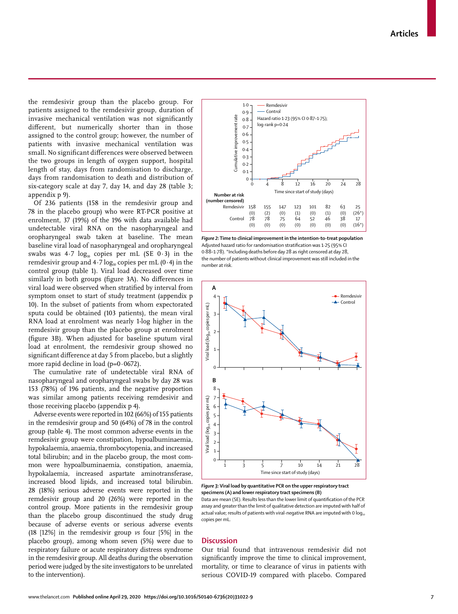the remdesivir group than the placebo group. For patients assigned to the remdesivir group, duration of invasive mechanical ventilation was not significantly different, but numerically shorter than in those assigned to the control group; however, the number of patients with invasive mechanical ventilation was small. No significant differences were observed between the two groups in length of oxygen support, hospital length of stay, days from randomisation to discharge, days from randomisation to death and distribution of six-category scale at day 7, day 14, and day 28 (table 3; appendix p 9).

Of 236 patients (158 in the remdesivir group and 78 in the placebo group) who were RT-PCR positive at enrolment, 37 (19%) of the 196 with data available had undetectable viral RNA on the nasopharyngeal and oropharyngeal swab taken at baseline. The mean baseline viral load of nasopharyngeal and oropharyngeal swabs was  $4.7 \log_{10}$  copies per mL (SE 0.3) in the remdesivir group and  $4.7 \log_{10}$  copies per mL (0.4) in the control group (table 1). Viral load decreased over time similarly in both groups (figure 3A). No differences in viral load were observed when stratified by interval from symptom onset to start of study treatment (appendix p 10). In the subset of patients from whom expectorated sputa could be obtained (103 patients), the mean viral RNA load at enrolment was nearly 1-log higher in the remdesivir group than the placebo group at enrolment (figure 3B). When adjusted for baseline sputum viral load at enrolment, the remdesivir group showed no significant difference at day 5 from placebo, but a slightly more rapid decline in load ( $p=0.0672$ ).

The cumulative rate of undetectable viral RNA of nasopharyngeal and oropharyngeal swabs by day 28 was 153 (78%) of 196 patients, and the negative proportion was similar among patients receiving remdesivir and those receiving placebo (appendix p 4).

Adverse events were reported in 102 (66%) of 155 patients in the remdesivir group and 50 (64%) of 78 in the control group (table 4). The most common adverse events in the remdesivir group were constipation, hypoalbuminaemia, hypokalaemia, anaemia, thrombocytopenia, and increased total bilirubin; and in the placebo group, the most common were hypoalbuminaemia, constipation, anaemia, hypokalaemia, increased aspartate aminotransferase, increased blood lipids, and increased total bilirubin. 28 (18%) serious adverse events were reported in the remdesivir group and 20 (26%) were reported in the control group. More patients in the remdesivir group than the placebo group discontinued the study drug because of adverse events or serious adverse events (18 [12%] in the remdesivir group *vs* four [5%] in the placebo group), among whom seven (5%) were due to respiratory failure or acute respiratory distress syndrome in the remdesivir group. All deaths during the observation period were judged by the site investigators to be unrelated to the intervention).



*Figure 2:* **Time to clinical improvement in the intention-to-treat population** Adjusted hazard ratio for randomisation stratification was 1·25 (95% CI 0·88–1·78). \*Including deaths before day 28 as right censored at day 28, the number of patients without clinical improvement was still included in the number at risk.



*Figure 3:* **Viral load by quantitative PCR on the upper respiratory tract specimens (A) and lower respiratory tract specimens (B)**

Data are mean (SE). Results less than the lower limit of quantification of the PCR assay and greater than the limit of qualitative detection are imputed with half of actual value; results of patients with viral-negative RNA are imputed with 0  $log<sub>10</sub>$ copies per mL.

# **Discussion**

Our trial found that intravenous remdesivir did not significantly improve the time to clinical improvement, mortality, or time to clearance of virus in patients with serious COVID-19 compared with placebo. Compared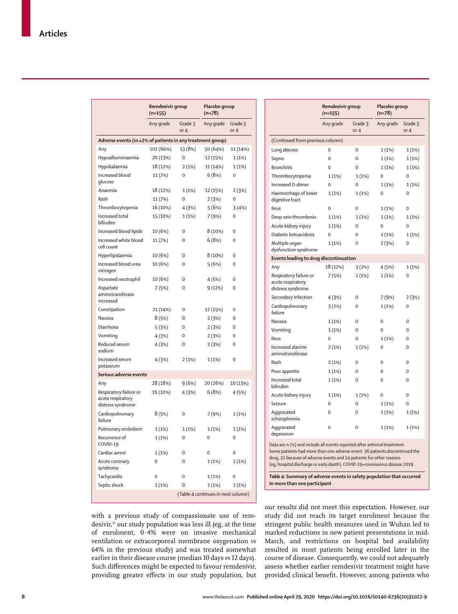|                                                                  | Remdesivir group<br>$(n=155)$ |                 | Placebo group<br>(n=78)            |                 |
|------------------------------------------------------------------|-------------------------------|-----------------|------------------------------------|-----------------|
|                                                                  | Any grade                     | Grade 3<br>or 4 | Any grade                          | Grade 3<br>or 4 |
| Adverse events (in ≥2% of patients in any treatment group)       |                               |                 |                                    |                 |
| Any                                                              | 102 (66%)                     | 13 (8%)         | 50 (64%)                           | 11 (14%)        |
| Hypoalbuminaemia                                                 | 20 (13%)                      | 0               | 12 (15%)                           | 1(1%)           |
| Hypokalaemia                                                     | 18 (12%)                      | 2(1%)           | 11 (14%)                           | 1(1%)           |
| Increased blood<br>glucose                                       | 11 (7%)                       | $\overline{0}$  | 6(8%)                              | 0               |
| Anaemia                                                          | 18 (12%)                      | 1(1%)           | 12 (15%)                           | 2(3%)           |
| Rash                                                             | 11 (7%)                       | 0               | 2(3%)                              | 0               |
| Thrombocytopenia                                                 | 16 (10%)                      | 4(3%)           | 5(6%)                              | 3(4%)           |
| Increased total<br>bilirubin                                     | 15 (10%)                      | 1(1%)           | 7(9%)                              | 0               |
| Increased blood lipids                                           | 10 (6%)                       | 0               | 8 (10%)                            | 0               |
| Increased white blood<br>cell count                              | 11 (7%)                       | 0               | 6(8%)                              | 0               |
| Hyperlipidaemia                                                  | 10 (6%)                       | $\overline{0}$  | 8 (10%)                            | 0               |
| Increased blood urea<br>nitrogen                                 | 10 (6%)                       | 0               | 5(6%)                              | 0               |
| Increased neutrophil                                             | 10 (6%)                       | 0               | 4(5%)                              | 0               |
| Aspartate<br>aminotransferase<br>increased                       | 7(5%)                         | $\overline{0}$  | 9(12%)                             | $\overline{0}$  |
| Constipation                                                     | 21 (14%)                      | 0               | 12 (15%)                           | 0               |
| Nausea                                                           | 8(5%)                         | 0               | 2(3%)                              | 0               |
| Diarrhoea                                                        | 5(3%)                         | $\mathbf 0$     | 2(3%)                              | $\overline{0}$  |
| Vomiting                                                         | 4(3%)                         | 0               | 2(3%)                              | 0               |
| Reduced serum<br>sodium                                          | 4(3%)                         | $\Omega$        | 2(3%)                              | 0               |
| Increased serum<br>potassium                                     | 4(3%)                         | 2(1%)           | 1(1%)                              | 0               |
| Serious adverse events                                           |                               |                 |                                    |                 |
| Any                                                              | 28 (18%)                      | 9(6%)           | 20 (26%)                           | 10 (13%)        |
| Respiratory failure or<br>acute respiratory<br>distress syndrome | 16 (10%)                      | 4(3%)           | 6(8%)                              | 4(5%)           |
| Cardiopulmonary<br>failure                                       | 8(5%)                         | $\Omega$        | 7 (9%)                             | 1(1%)           |
| Pulmonary embolism                                               | 1(1%)                         | 1(1%)           | 1(1%)                              | 1(1%)           |
| Recurrence of<br>COVID-19                                        | 1(1%)                         | 0               | 0                                  | 0               |
| Cardiac arrest                                                   | 1(1%)                         | $\Omega$        | $\Omega$                           | $\Omega$        |
| Acute coronary<br>syndrome                                       | $\mathbf 0$                   | 0               | 1(1%)                              | 1(1%)           |
| Tachycardia                                                      | $\overline{0}$                | 0               | 1(1%)                              | 0               |
| Septic shock                                                     | 1(1%)                         | 0               | 1(1%)                              | 1(1%)           |
|                                                                  |                               |                 | (Table 4 continues in next column) |                 |

| with a previous study of compassionate use of rem-                        |
|---------------------------------------------------------------------------|
| desivir, <sup>21</sup> our study population was less ill (eg, at the time |
| of enrolment, 0.4% were on invasive mechanical                            |
| ventilation or extracorporeal membrane oxygenation vs                     |
| 64% in the previous study) and was treated somewhat                       |
| earlier in their disease course (median 10 days vs 12 days).              |
| Such differences might be expected to favour remdesivir,                  |
| providing greater effects in our study population, but                    |
|                                                                           |

|                                                                  | Remdesivir group<br>$(n=155)$ |                 | Placebo group<br>(n=78) |                 |
|------------------------------------------------------------------|-------------------------------|-----------------|-------------------------|-----------------|
|                                                                  | Any grade                     | Grade 3<br>or 4 | Any grade               | Grade 3<br>or 4 |
| (Continued from previous column)                                 |                               |                 |                         |                 |
| Lung abscess                                                     | 0                             | $\mathbf 0$     | 1(1%)                   | 1(1%)           |
| Sepsis                                                           | $\Omega$                      | $\overline{0}$  | 1(1%)                   | 1(1%)           |
| <b>Bronchitis</b>                                                | 0                             | $\mathbf 0$     | 1(1%)                   | 1(1%)           |
| Thrombocytopenia                                                 | 1(1%)                         | 1(1%)           | 0                       | 0               |
| <b>Increased D-dimer</b>                                         | $\Omega$                      | $\Omega$        | 1(1%)                   | 1(1%)           |
| Haemorrhage of lower<br>digestive tract                          | 1(1%)                         | 1(1%)           | 0                       | 0               |
| Ileus                                                            | 0                             | 0               | 1(1%)                   | 0               |
| Deep vein thrombosis                                             | 1(1%)                         | 1(1%)           | 1(1%)                   | 1(1%)           |
| Acute kidney injury                                              | 1(1%)                         | 0               | 0                       | 0               |
| Diabetic ketoacidosis                                            | 0                             | 0               | 1(1%)                   | 1(1%)           |
| Multiple organ<br>dysfunction syndrome                           | 1(1%)                         | $\Omega$        | 2(3%)                   | 0               |
| Events leading to drug discontinuation                           |                               |                 |                         |                 |
| Any                                                              | 18 (12%)                      | 3(2%)           | 4 (5%)                  | 1(1%)           |
| Respiratory failure or<br>acute respiratory<br>distress syndrome | 7(5%)                         | 1(1%)           | 1(1%)                   | 0               |
| Secondary infection                                              | 4(3%)                         | 0               | 7 (9%)                  | 2(3%)           |
| Cardiopulmonary<br>failure                                       | 3(2%)                         | $\mathbf 0$     | 1(1%)                   | 0               |
| Nausea                                                           | 1(1%)                         | $\mathbf 0$     | 0                       | 0               |
| Vomiting                                                         | 1(1%)                         | $\Omega$        | $\Omega$                | $\Omega$        |
| Ileus                                                            | 0                             | $\mathbf 0$     | 1(1%)                   | 0               |
| Increased alanine<br>aminotransferase                            | 2(1%)                         | 1(1%)           | 0                       | $\Omega$        |
| Rash                                                             | 2(1%)                         | 0               | 0                       | 0               |
| Poor appetite                                                    | 1(1%)                         | $\Omega$        | $\Omega$                | 0               |
| Increased total<br>bilirubin                                     | 1(1%)                         | $\mathbf 0$     | 0                       | 0               |
| Acute kidney injury                                              | 1(1%)                         | 1(1%)           | $\mathbf 0$             | 0               |
| Seizure                                                          | $\Omega$                      | $\mathbf 0$     | 1(1%)                   | 0               |
| Aggravated<br>schizophrenia                                      | 0                             | $\mathbf 0$     | 1(1%)                   | 1(1%)           |
| Aggravated<br>depression                                         | 0                             | $\mathbf 0$     | 1(1%)                   | 1 (1%)          |

Some patients had more than one adverse event. 36 patients discontinued the drug, 22 because of adverse events and 14 patients for other reasons (eg, hospital discharge or early death). COVID-19=coronavirus disease 2019.

*Table 4:* **Summary of adverse events in safety population that occurred in more than one participant**

our results did not meet this expectation. However, our study did not reach its target enrolment because the stringent public health measures used in Wuhan led to marked reductions in new patient presentations in mid-March, and restrictions on hospital bed availability resulted in most patients being enrolled later in the course of disease. Consequently, we could not adequately assess whether earlier remdesivir treatment might have provided clinical benefit. However, among patients who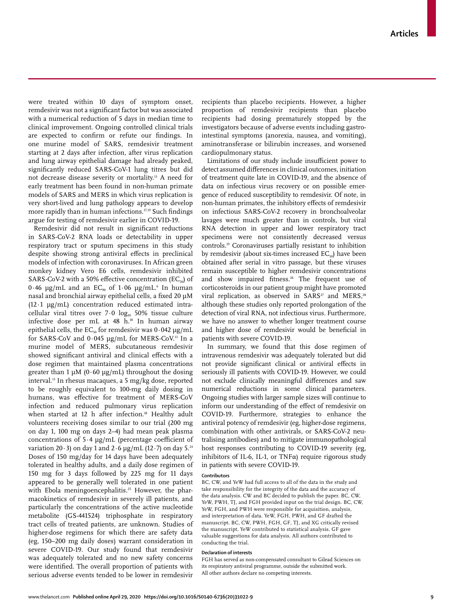were treated within 10 days of symptom onset, remdesivir was not a significant factor but was associated with a numerical reduction of 5 days in median time to clinical improvement. Ongoing controlled clinical trials are expected to confirm or refute our findings. In one murine model of SARS, remdesivir treatment starting at 2 days after infection, after virus replication and lung airway epithelial damage had already peaked, significantly reduced SARS-CoV-1 lung titres but did not decrease disease severity or mortality.13 A need for early treatment has been found in non-human primate models of SARS and MERS in which virus replication is very short-lived and lung pathology appears to develop more rapidly than in human infections.<sup>17,19</sup> Such findings argue for testing of remdesivir earlier in COVID-19.

Remdesivir did not result in significant reductions in SARS-CoV-2 RNA loads or detectability in upper respiratory tract or sputum specimens in this study despite showing strong antiviral effects in preclinical models of infection with coronaviruses. In African green monkey kidney Vero E6 cells, remdesivir inhibited SARS-CoV-2 with a 50% effective concentration (EC<sub>50</sub>) of 0.46  $\mu$ g/mL and an EC $_{\text{90}}$  of 1.06  $\mu$ g/mL. $^{\text{o}}$  In human nasal and bronchial airway epithelial cells, a fixed 20 µM  $(12.1 \text{ µg/mL})$  concentration reduced estimated intracellular viral titres over  $7.0 \log_{10} 50\%$  tissue culture infective dose per mL at 48 h.<sup>18</sup> In human airway epithelial cells, the  $EC_{50}$  for remdesivir was  $0.042 \mu g/mL$ for SARS-CoV and  $0.045 \mu g/mL$  for MERS-CoV.<sup>13</sup> In a murine model of MERS, subcutaneous remdesivir showed significant antiviral and clinical effects with a dose regimen that maintained plasma concentrations greater than 1  $\mu$ M (0.60  $\mu$ g/mL) throughout the dosing interval.13 In rhesus macaques, a 5 mg/kg dose, reported to be roughly equivalent to 100-mg daily dosing in humans, was effective for treatment of MERS-CoV infection and reduced pulmonary virus replication when started at 12 h after infection.<sup>18</sup> Healthy adult volunteers receiving doses similar to our trial (200 mg on day 1, 100 mg on days 2–4) had mean peak plasma concentrations of 5·4 µg/mL (percentage coefficient of variation 20 $\cdot$ 3) on day 1 and 2 $\cdot$  6 µg/mL (12 $\cdot$ 7) on day 5.<sup>24</sup> Doses of 150 mg/day for 14 days have been adequately tolerated in healthy adults, and a daily dose regimen of 150 mg for 3 days followed by 225 mg for 11 days appeared to be generally well tolerated in one patient with Ebola meningoencephalitis.<sup>25</sup> However, the pharmacokinetics of remdesivir in severely ill patients, and particularly the concentrations of the active nucleotide metabolite (GS-441524) triphosphate in respiratory tract cells of treated patients, are unknown. Studies of higher-dose regimens for which there are safety data (eg, 150–200 mg daily doses) warrant consideration in severe COVID-19. Our study found that remdesivir was adequately tolerated and no new safety concerns were identified. The overall proportion of patients with serious adverse events tended to be lower in remdesivir

recipients than placebo recipients. However, a higher proportion of remdesivir recipients than placebo recipients had dosing prematurely stopped by the investigators because of adverse events including gastrointestinal symptoms (anorexia, nausea, and vomiting), aminotransferase or bilirubin increases, and worsened cardiopulmonary status.

Limitations of our study include insufficient power to detect assumed differences in clinical outcomes, initiation of treatment quite late in COVID-19, and the absence of data on infectious virus recovery or on possible emergence of reduced susceptibility to remdesivir. Of note, in non-human primates, the inhibitory effects of remdesivir on infectious SARS-CoV-2 recovery in bronchoalveolar lavages were much greater than in controls, but viral RNA detection in upper and lower respiratory tract specimens were not consistently decreased versus controls.19 Coronaviruses partially resistant to inhibition by remdesivir (about six-times increased  $EC_{50}$ ) have been obtained after serial in vitro passage, but these viruses remain susceptible to higher remdesivir concentrations and show impaired fitness.<sup>26</sup> The frequent use of corticosteroids in our patient group might have promoted viral replication, as observed in  $SARS^{27}$  and MERS,<sup>28</sup> although these studies only reported prolongation of the detection of viral RNA, not infectious virus. Furthermore, we have no answer to whether longer treatment course and higher dose of remdesivir would be beneficial in patients with severe COVID-19.

In summary, we found that this dose regimen of intravenous remdesivir was adequately tolerated but did not provide significant clinical or antiviral effects in seriously ill patients with COVID-19. However, we could not exclude clinically meaningful differences and saw numerical reductions in some clinical parameters. Ongoing studies with larger sample sizes will continue to inform our understanding of the effect of remdesivir on COVID-19. Furthermore, strategies to enhance the antiviral potency of remdesivir (eg, higher-dose regimens, combination with other antivirals, or SARS-CoV-2 neutralising antibodies) and to mitigate immunopathological host responses contributing to COVID-19 severity (eg, inhibitors of IL-6, IL-1, or TNF $\alpha$ ) require rigorous study in patients with severe COVID-19.

#### **Contributors**

BC, CW, and YeW had full access to all of the data in the study and take responsibility for the integrity of the data and the accuracy of the data analysis. CW and BC decided to publish the paper. BC, CW, YeW, PWH, TJ, and FGH provided input on the trial design. BC, CW, YeW, FGH, and PWH were responsible for acquisition, analysis, and interpretation of data. YeW, FGH, PWH, and GF drafted the manuscript. BC, CW, PWH, FGH, GF, TJ, and XG critically revised the manuscript. YeW contributed to statistical analysis. GF gave valuable suggestions for data analysis*.* All authors contributed to conducting the trial.

## **Declaration of interests**

FGH has served as non-compensated consultant to Gilead Sciences on its respiratory antiviral programme, outside the submitted work. All other authors declare no competing interests.